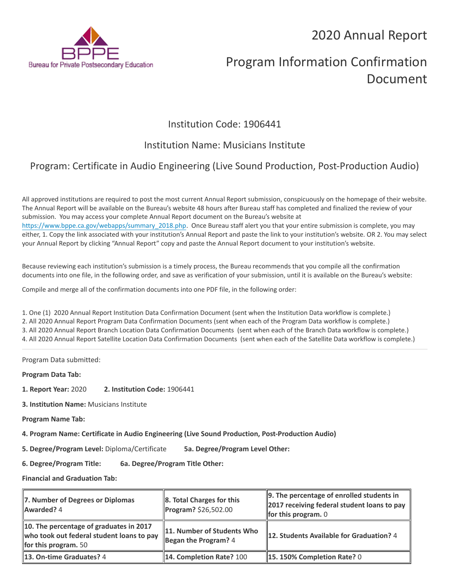## 2020 Annual Report



# Program Information Confirmation Document

### Institution Code: 1906441

## Institution Name: Musicians Institute

## Program: Certificate in Audio Engineering (Live Sound Production, Post-Production Audio)

All approved institutions are required to post the most current Annual Report submission, conspicuously on the homepage of their website. The Annual Report will be available on the Bureau's website 48 hours after Bureau staff has completed and finalized the review of your submission. You may access your complete Annual Report document on the Bureau's website at [https://www.bppe.ca.gov/webapps/summary\\_2018.php.](https://www.bppe.ca.gov/webapps/summary_2018.php) Once Bureau staff alert you that your entire submission is complete, you may either, 1. Copy the link associated with your institution's Annual Report and paste the link to your institution's website. OR 2. You may select your Annual Report by clicking "Annual Report" copy and paste the Annual Report document to your institution's website.

Because reviewing each institution's submission is a timely process, the Bureau recommends that you compile all the confirmation documents into one file, in the following order, and save as verification of your submission, until it is available on the Bureau's website:

Compile and merge all of the confirmation documents into one PDF file, in the following order:

1. One (1) 2020 Annual Report Institution Data Confirmation Document (sent when the Institution Data workflow is complete.) 2. All 2020 Annual Report Program Data Confirmation Documents (sent when each of the Program Data workflow is complete.) 3. All 2020 Annual Report Branch Location Data Confirmation Documents (sent when each of the Branch Data workflow is complete.) 4. All 2020 Annual Report Satellite Location Data Confirmation Documents (sent when each of the Satellite Data workflow is complete.)

Program Data submitted:

**Program Data Tab:**

- **1. Report Year:** 2020 **2. Institution Code:** 1906441
- **3. Institution Name:** Musicians Institute
- **Program Name Tab:**

**4. Program Name: Certificate in Audio Engineering (Live Sound Production, Post-Production Audio)** 

**5. Degree/Program Level:** Diploma/Certificate **5a. Degree/Program Level Other:**

**6. Degree/Program Title: 6a. Degree/Program Title Other:**

**Financial and Graduation Tab:**

| 7. Number of Degrees or Diplomas<br>Awarded? 4                                                                      | 8. Total Charges for this<br>Program? \$26,502.00  | $\parallel$ 9. The percentage of enrolled students in<br>2017 receiving federal student loans to pay<br><b>for this program.</b> $0$ |
|---------------------------------------------------------------------------------------------------------------------|----------------------------------------------------|--------------------------------------------------------------------------------------------------------------------------------------|
| 10. The percentage of graduates in 2017<br>who took out federal student loans to pay<br><b>for this program.</b> 50 | 11. Number of Students Who<br>Began the Program? 4 | 12. Students Available for Graduation? 4                                                                                             |
| 13. On-time Graduates? 4                                                                                            | 14. Completion Rate? 100                           | $\parallel$ 15. 150% Completion Rate? 0                                                                                              |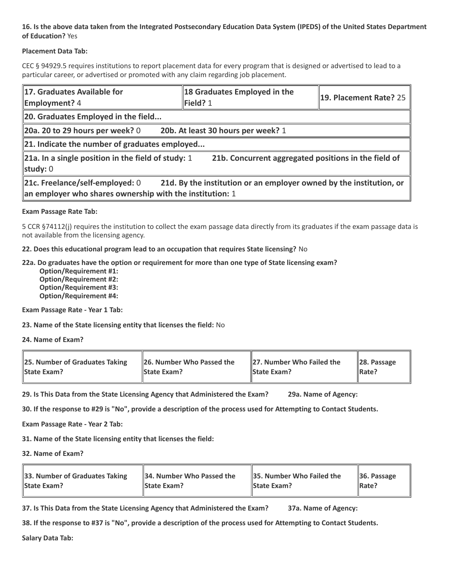#### **16. Is the above data taken from the Integrated Postsecondary Education Data System (IPEDS) of the United States Department of Education?** Yes

#### **Placement Data Tab:**

CEC § 94929.5 requires institutions to report placement data for every program that is designed or advertised to lead to a particular career, or advertised or promoted with any claim regarding job placement.

| 17. Graduates Available for<br><b>Employment?</b> 4                                                                                                                | 18 Graduates Employed in the<br>$\blacktriangleright$ Field? 1 | 19. Placement Rate? 25 |  |  |
|--------------------------------------------------------------------------------------------------------------------------------------------------------------------|----------------------------------------------------------------|------------------------|--|--|
| 20. Graduates Employed in the field                                                                                                                                |                                                                |                        |  |  |
| 20b. At least 30 hours per week? 1<br>20a. 20 to 29 hours per week? $0$                                                                                            |                                                                |                        |  |  |
| $\ $ 21. Indicate the number of graduates employed                                                                                                                 |                                                                |                        |  |  |
| 21a. In a single position in the field of study: 1<br>21b. Concurrent aggregated positions in the field of<br>study: $0$                                           |                                                                |                        |  |  |
| 21d. By the institution or an employer owned by the institution, or<br>21c. Freelance/self-employed: 0<br>an employer who shares ownership with the institution: 1 |                                                                |                        |  |  |

#### **Exam Passage Rate Tab:**

5 CCR §74112(j) requires the institution to collect the exam passage data directly from its graduates if the exam passage data is not available from the licensing agency.

**22. Does this educational program lead to an occupation that requires State licensing?** No

#### **22a. Do graduates have the option or requirement for more than one type of State licensing exam?**

 **Option/Requirement #1: Option/Requirement #2: Option/Requirement #3: Option/Requirement #4:**

**Exam Passage Rate - Year 1 Tab:**

**23. Name of the State licensing entity that licenses the field:** No

**24. Name of Exam?**

| 25. Number of Graduates Taking | 26. Number Who Passed the | 27. Number Who Failed the | $\ $ 28. Passage |
|--------------------------------|---------------------------|---------------------------|------------------|
| <b>State Exam?</b>             | <b>State Exam?</b>        | <b>State Exam?</b>        | Rate?            |

**29. Is This Data from the State Licensing Agency that Administered the Exam? 29a. Name of Agency:**

**30. If the response to #29 is "No", provide a description of the process used for Attempting to Contact Students.**

**Exam Passage Rate - Year 2 Tab:**

**31. Name of the State licensing entity that licenses the field:**

**32. Name of Exam?**

| 33. Number of Graduates Taking | 34. Number Who Passed the | <b>35. Number Who Failed the</b> | $\parallel$ 36. Passage |
|--------------------------------|---------------------------|----------------------------------|-------------------------|
| <b>State Exam?</b>             | <b>State Exam?</b>        | <b>State Exam?</b>               | $\parallel$ Rate?       |

**37. Is This Data from the State Licensing Agency that Administered the Exam? 37a. Name of Agency:**

**38. If the response to #37 is "No", provide a description of the process used for Attempting to Contact Students.** 

**Salary Data Tab:**